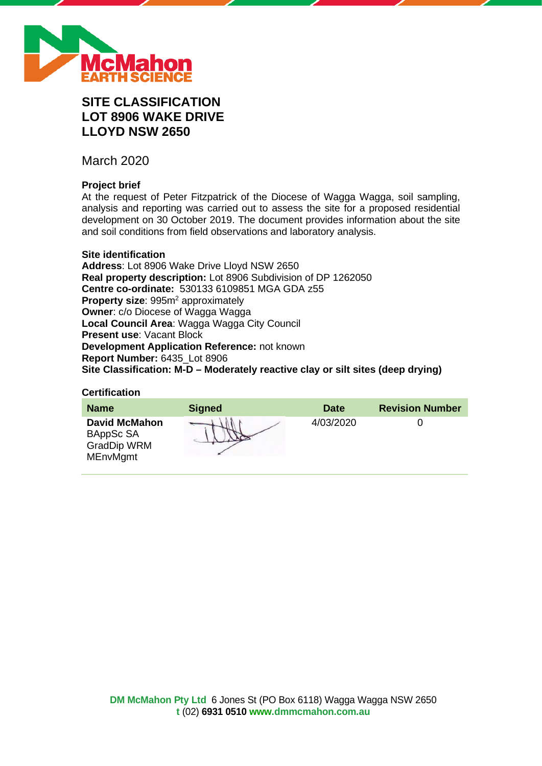

# **SITE CLASSIFICATION LOT 8906 WAKE DRIVE LLOYD NSW 2650**

March 2020

# **Project brief**

At the request of Peter Fitzpatrick of the Diocese of Wagga Wagga, soil sampling, analysis and reporting was carried out to assess the site for a proposed residential development on 30 October 2019. The document provides information about the site and soil conditions from field observations and laboratory analysis.

# **Site identification**

**Address**: Lot 8906 Wake Drive Lloyd NSW 2650 **Real property description:** Lot 8906 Subdivision of DP 1262050 **Centre co-ordinate:** 530133 6109851 MGA GDA z55 **Property size:** 995m<sup>2</sup> approximately **Owner**: c/o Diocese of Wagga Wagga **Local Council Area**: Wagga Wagga City Council **Present use**: Vacant Block **Development Application Reference:** not known **Report Number:** 6435\_Lot 8906 **Site Classification: M-D – Moderately reactive clay or silt sites (deep drying)**

#### **Certification**

| <b>Name</b>                                                                | <b>Signed</b> | <b>Date</b> | <b>Revision Number</b> |
|----------------------------------------------------------------------------|---------------|-------------|------------------------|
| <b>David McMahon</b><br>BAppSc SA<br><b>GradDip WRM</b><br><b>MEnvMgmt</b> |               | 4/03/2020   |                        |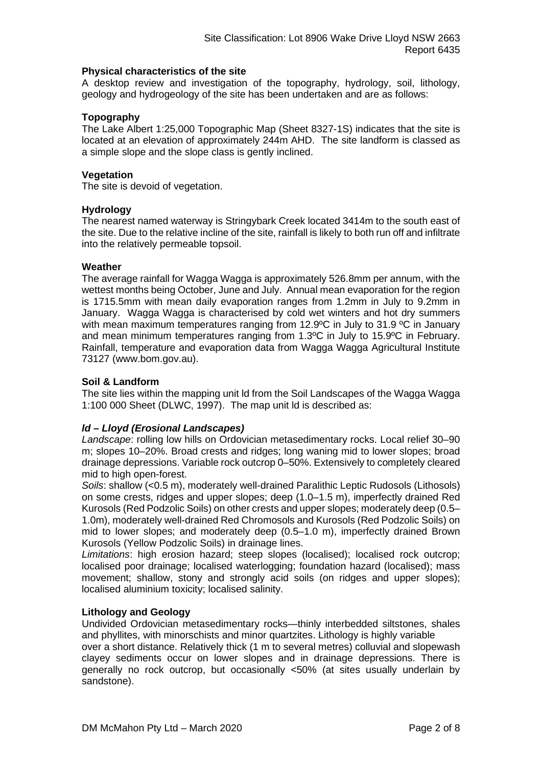# **Physical characteristics of the site**

A desktop review and investigation of the topography, hydrology, soil, lithology, geology and hydrogeology of the site has been undertaken and are as follows:

# **Topography**

The Lake Albert 1:25,000 Topographic Map (Sheet 8327-1S) indicates that the site is located at an elevation of approximately 244m AHD. The site landform is classed as a simple slope and the slope class is gently inclined.

# **Vegetation**

The site is devoid of vegetation.

# **Hydrology**

The nearest named waterway is Stringybark Creek located 3414m to the south east of the site. Due to the relative incline of the site, rainfall is likely to both run off and infiltrate into the relatively permeable topsoil.

# **Weather**

The average rainfall for Wagga Wagga is approximately 526.8mm per annum, with the wettest months being October, June and July. Annual mean evaporation for the region is 1715.5mm with mean daily evaporation ranges from 1.2mm in July to 9.2mm in January. Wagga Wagga is characterised by cold wet winters and hot dry summers with mean maximum temperatures ranging from 12.9°C in July to 31.9 °C in January and mean minimum temperatures ranging from 1.3ºC in July to 15.9ºC in February. Rainfall, temperature and evaporation data from Wagga Wagga Agricultural Institute 73127 (www.bom.gov.au).

# **Soil & Landform**

The site lies within the mapping unit ld from the Soil Landscapes of the Wagga Wagga 1:100 000 Sheet (DLWC, 1997). The map unit ld is described as:

# *ld – Lloyd (Erosional Landscapes)*

*Landscape*: rolling low hills on Ordovician metasedimentary rocks. Local relief 30–90 m; slopes 10–20%. Broad crests and ridges; long waning mid to lower slopes; broad drainage depressions. Variable rock outcrop 0–50%. Extensively to completely cleared mid to high open-forest.

*Soils*: shallow (<0.5 m), moderately well-drained Paralithic Leptic Rudosols (Lithosols) on some crests, ridges and upper slopes; deep (1.0–1.5 m), imperfectly drained Red Kurosols (Red Podzolic Soils) on other crests and upper slopes; moderately deep (0.5– 1.0m), moderately well-drained Red Chromosols and Kurosols (Red Podzolic Soils) on mid to lower slopes; and moderately deep (0.5–1.0 m), imperfectly drained Brown Kurosols (Yellow Podzolic Soils) in drainage lines.

*Limitations*: high erosion hazard; steep slopes (localised); localised rock outcrop; localised poor drainage; localised waterlogging; foundation hazard (localised); mass movement; shallow, stony and strongly acid soils (on ridges and upper slopes); localised aluminium toxicity; localised salinity.

# **Lithology and Geology**

Undivided Ordovician metasedimentary rocks—thinly interbedded siltstones, shales and phyllites, with minorschists and minor quartzites. Lithology is highly variable

over a short distance. Relatively thick (1 m to several metres) colluvial and slopewash clayey sediments occur on lower slopes and in drainage depressions. There is generally no rock outcrop, but occasionally <50% (at sites usually underlain by sandstone).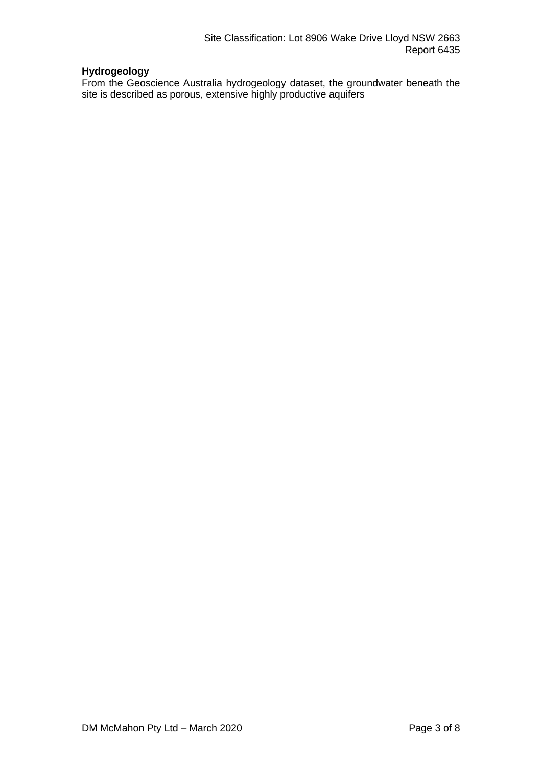# **Hydrogeology**

From the Geoscience Australia hydrogeology dataset, the groundwater beneath the site is described as porous, extensive highly productive aquifers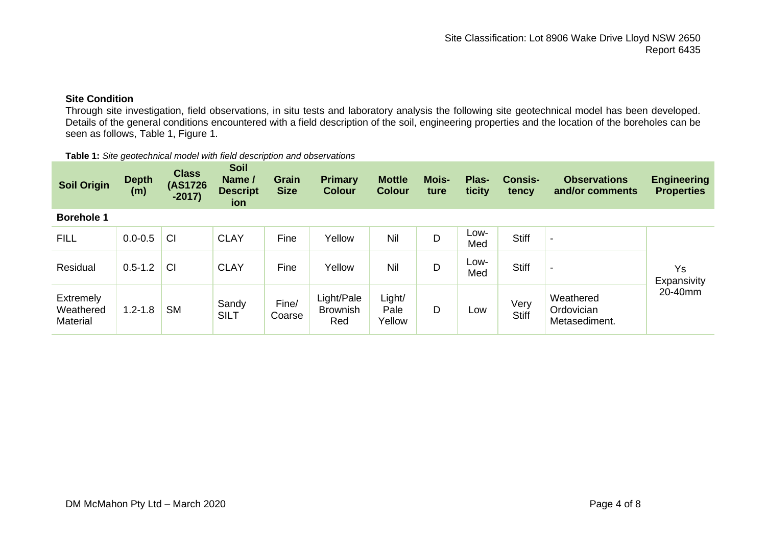# **Site Condition**

Through site investigation, field observations, in situ tests and laboratory analysis the following site geotechnical model has been developed. Details of the general conditions encountered with a field description of the soil, engineering properties and the location of the boreholes can be seen as follows, Table 1, Figure 1.

| <b>Soil Origin</b>                 | <b>Depth</b><br>(m) | <b>Class</b><br>(AS1726)<br>$-2017)$ | Soil<br>Name /<br><b>Descript</b><br>ion | <b>Grain</b><br><b>Size</b> | <b>Primary</b><br><b>Colour</b>      | <b>Mottle</b><br><b>Colour</b> | <b>Mois-</b><br>ture | Plas-<br>ticity | <b>Consis-</b><br>tency | <b>Observations</b><br>and/or comments   | <b>Engineering</b><br><b>Properties</b> |
|------------------------------------|---------------------|--------------------------------------|------------------------------------------|-----------------------------|--------------------------------------|--------------------------------|----------------------|-----------------|-------------------------|------------------------------------------|-----------------------------------------|
| <b>Borehole 1</b>                  |                     |                                      |                                          |                             |                                      |                                |                      |                 |                         |                                          |                                         |
| <b>FILL</b>                        | $0.0 - 0.5$         | CI                                   | <b>CLAY</b>                              | Fine                        | Yellow                               | Nil                            | D                    | Low-<br>Med     | <b>Stiff</b>            | $\blacksquare$                           |                                         |
| Residual                           | $0.5 - 1.2$         | CI                                   | <b>CLAY</b>                              | Fine                        | Yellow                               | Nil                            | D                    | Low-<br>Med     | <b>Stiff</b>            | $\blacksquare$                           | Ys<br>Expansivity                       |
| Extremely<br>Weathered<br>Material | $1.2 - 1.8$         | <b>SM</b>                            | Sandy<br><b>SILT</b>                     | Fine/<br>Coarse             | Light/Pale<br><b>Brownish</b><br>Red | Light/<br>Pale<br>Yellow       | D                    | Low             | Very<br><b>Stiff</b>    | Weathered<br>Ordovician<br>Metasediment. | 20-40mm                                 |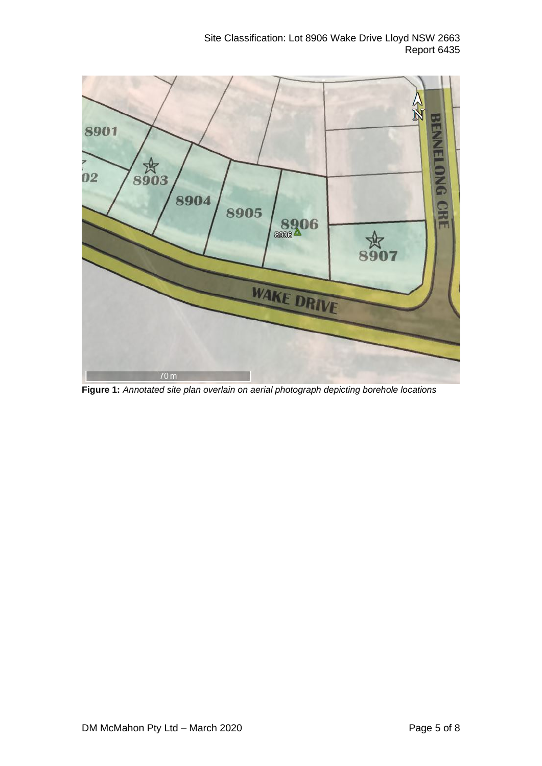

**Figure 1:** *Annotated site plan overlain on aerial photograph depicting borehole locations*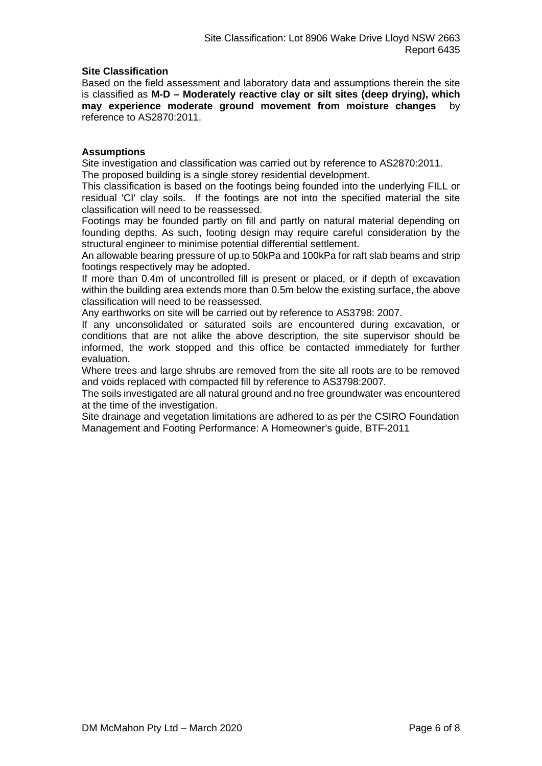# **Site Classification**

Based on the field assessment and laboratory data and assumptions therein the site is classified as **M-D – Moderately reactive clay or silt sites (deep drying), which may experience moderate ground movement from moisture changes** by reference to AS2870:2011.

# **Assumptions**

Site investigation and classification was carried out by reference to AS2870:2011. The proposed building is a single storey residential development.

This classification is based on the footings being founded into the underlying FILL or residual 'CI' clay soils. If the footings are not into the specified material the site classification will need to be reassessed.

Footings may be founded partly on fill and partly on natural material depending on founding depths. As such, footing design may require careful consideration by the structural engineer to minimise potential differential settlement.

An allowable bearing pressure of up to 50kPa and 100kPa for raft slab beams and strip footings respectively may be adopted.

If more than 0.4m of uncontrolled fill is present or placed, or if depth of excavation within the building area extends more than 0.5m below the existing surface, the above classification will need to be reassessed.

Any earthworks on site will be carried out by reference to AS3798: 2007.

If any unconsolidated or saturated soils are encountered during excavation, or conditions that are not alike the above description, the site supervisor should be informed, the work stopped and this office be contacted immediately for further evaluation.

Where trees and large shrubs are removed from the site all roots are to be removed and voids replaced with compacted fill by reference to AS3798:2007.

The soils investigated are all natural ground and no free groundwater was encountered at the time of the investigation.

Site drainage and vegetation limitations are adhered to as per the CSIRO Foundation Management and Footing Performance: A Homeowner's guide, BTF-2011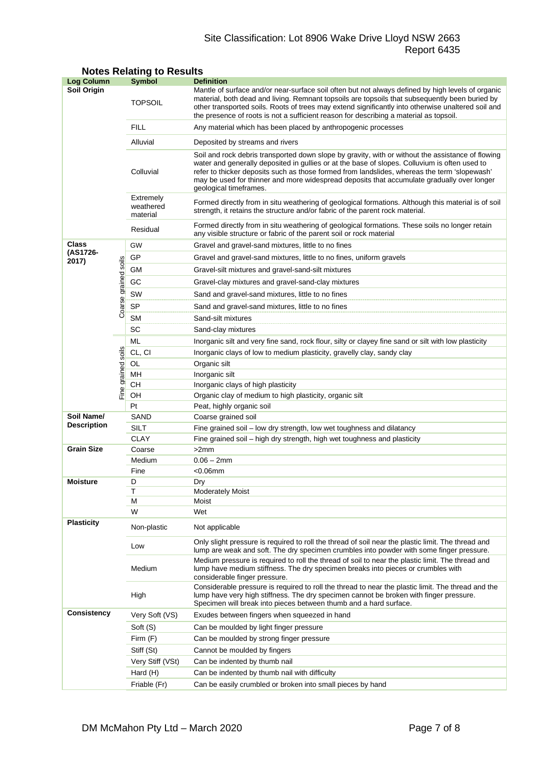# Site Classification: Lot 8906 Wake Drive Lloyd NSW 2663 Report 6435

| Log Column         |                | <b>Symbol</b>                      | <b>Definition</b>                                                                                                                                                                                                                                                                                                                                                                                                          |  |  |  |
|--------------------|----------------|------------------------------------|----------------------------------------------------------------------------------------------------------------------------------------------------------------------------------------------------------------------------------------------------------------------------------------------------------------------------------------------------------------------------------------------------------------------------|--|--|--|
| Soil Origin        |                | <b>TOPSOIL</b>                     | Mantle of surface and/or near-surface soil often but not always defined by high levels of organic<br>material, both dead and living. Remnant topsoils are topsoils that subsequently been buried by<br>other transported soils. Roots of trees may extend significantly into otherwise unaltered soil and<br>the presence of roots is not a sufficient reason for describing a material as topsoil.                        |  |  |  |
|                    |                | FILL                               | Any material which has been placed by anthropogenic processes                                                                                                                                                                                                                                                                                                                                                              |  |  |  |
|                    |                | Alluvial                           | Deposited by streams and rivers                                                                                                                                                                                                                                                                                                                                                                                            |  |  |  |
|                    |                | Colluvial                          | Soil and rock debris transported down slope by gravity, with or without the assistance of flowing<br>water and generally deposited in gullies or at the base of slopes. Colluvium is often used to<br>refer to thicker deposits such as those formed from landslides, whereas the term 'slopewash'<br>may be used for thinner and more widespread deposits that accumulate gradually over longer<br>geological timeframes. |  |  |  |
|                    |                | Extremely<br>weathered<br>material | Formed directly from in situ weathering of geological formations. Although this material is of soil<br>strength, it retains the structure and/or fabric of the parent rock material.                                                                                                                                                                                                                                       |  |  |  |
|                    |                | Residual                           | Formed directly from in situ weathering of geological formations. These soils no longer retain<br>any visible structure or fabric of the parent soil or rock material                                                                                                                                                                                                                                                      |  |  |  |
| Class              |                | GW                                 | Gravel and gravel-sand mixtures, little to no fines                                                                                                                                                                                                                                                                                                                                                                        |  |  |  |
| (AS1726-<br>2017)  |                | GP                                 | Gravel and gravel-sand mixtures, little to no fines, uniform gravels                                                                                                                                                                                                                                                                                                                                                       |  |  |  |
|                    | soils          | GМ                                 | Gravel-silt mixtures and gravel-sand-silt mixtures                                                                                                                                                                                                                                                                                                                                                                         |  |  |  |
|                    |                | GC                                 | Gravel-clay mixtures and gravel-sand-clay mixtures                                                                                                                                                                                                                                                                                                                                                                         |  |  |  |
|                    |                | SW                                 | Sand and gravel-sand mixtures, little to no fines                                                                                                                                                                                                                                                                                                                                                                          |  |  |  |
|                    | Coarse grained | <b>SP</b>                          |                                                                                                                                                                                                                                                                                                                                                                                                                            |  |  |  |
|                    |                | <b>SM</b>                          | Sand and gravel-sand mixtures, little to no fines<br>Sand-silt mixtures                                                                                                                                                                                                                                                                                                                                                    |  |  |  |
|                    |                | SC                                 | Sand-clay mixtures                                                                                                                                                                                                                                                                                                                                                                                                         |  |  |  |
|                    |                | ML                                 | Inorganic silt and very fine sand, rock flour, silty or clayey fine sand or silt with low plasticity                                                                                                                                                                                                                                                                                                                       |  |  |  |
|                    |                | CL, CI                             | Inorganic clays of low to medium plasticity, gravelly clay, sandy clay                                                                                                                                                                                                                                                                                                                                                     |  |  |  |
|                    | soils          | OL                                 | Organic silt                                                                                                                                                                                                                                                                                                                                                                                                               |  |  |  |
|                    |                | MН                                 | Inorganic silt                                                                                                                                                                                                                                                                                                                                                                                                             |  |  |  |
|                    |                | CН                                 | Inorganic clays of high plasticity                                                                                                                                                                                                                                                                                                                                                                                         |  |  |  |
|                    | Fine grained   | OН                                 | Organic clay of medium to high plasticity, organic silt                                                                                                                                                                                                                                                                                                                                                                    |  |  |  |
|                    |                | Pt                                 | Peat, highly organic soil                                                                                                                                                                                                                                                                                                                                                                                                  |  |  |  |
| Soil Name/         |                | SAND                               | Coarse grained soil                                                                                                                                                                                                                                                                                                                                                                                                        |  |  |  |
| <b>Description</b> |                | SILT                               | Fine grained soil - low dry strength, low wet toughness and dilatancy                                                                                                                                                                                                                                                                                                                                                      |  |  |  |
|                    |                | <b>CLAY</b>                        | Fine grained soil - high dry strength, high wet toughness and plasticity                                                                                                                                                                                                                                                                                                                                                   |  |  |  |
| <b>Grain Size</b>  |                | Coarse                             | >2mm                                                                                                                                                                                                                                                                                                                                                                                                                       |  |  |  |
|                    |                | Medium                             | $0.06 - 2mm$                                                                                                                                                                                                                                                                                                                                                                                                               |  |  |  |
|                    |                | Fine                               | $<$ 0.06 $<$ mm                                                                                                                                                                                                                                                                                                                                                                                                            |  |  |  |
| <b>Moisture</b>    |                | D                                  | Dry                                                                                                                                                                                                                                                                                                                                                                                                                        |  |  |  |
|                    |                | Τ<br>М                             | <b>Moderately Moist</b><br>Moist                                                                                                                                                                                                                                                                                                                                                                                           |  |  |  |
|                    |                | W                                  | Wet                                                                                                                                                                                                                                                                                                                                                                                                                        |  |  |  |
| <b>Plasticity</b>  |                | Non-plastic                        | Not applicable                                                                                                                                                                                                                                                                                                                                                                                                             |  |  |  |
|                    |                | Low                                | Only slight pressure is required to roll the thread of soil near the plastic limit. The thread and<br>lump are weak and soft. The dry specimen crumbles into powder with some finger pressure.                                                                                                                                                                                                                             |  |  |  |
|                    |                | Medium                             | Medium pressure is required to roll the thread of soil to near the plastic limit. The thread and<br>lump have medium stiffness. The dry specimen breaks into pieces or crumbles with<br>considerable finger pressure.                                                                                                                                                                                                      |  |  |  |
|                    |                | High                               | Considerable pressure is required to roll the thread to near the plastic limit. The thread and the<br>lump have very high stiffness. The dry specimen cannot be broken with finger pressure.<br>Specimen will break into pieces between thumb and a hard surface.                                                                                                                                                          |  |  |  |
| Consistency        |                | Very Soft (VS)                     | Exudes between fingers when squeezed in hand                                                                                                                                                                                                                                                                                                                                                                               |  |  |  |
|                    |                | Soft (S)                           | Can be moulded by light finger pressure                                                                                                                                                                                                                                                                                                                                                                                    |  |  |  |
|                    |                | Firm (F)                           | Can be moulded by strong finger pressure                                                                                                                                                                                                                                                                                                                                                                                   |  |  |  |
|                    |                | Stiff (St)                         | Cannot be moulded by fingers                                                                                                                                                                                                                                                                                                                                                                                               |  |  |  |
|                    |                | Very Stiff (VSt)                   | Can be indented by thumb nail                                                                                                                                                                                                                                                                                                                                                                                              |  |  |  |
|                    |                | Hard (H)                           | Can be indented by thumb nail with difficulty                                                                                                                                                                                                                                                                                                                                                                              |  |  |  |
|                    |                | Friable (Fr)                       | Can be easily crumbled or broken into small pieces by hand                                                                                                                                                                                                                                                                                                                                                                 |  |  |  |

# **Notes Relating to Results**